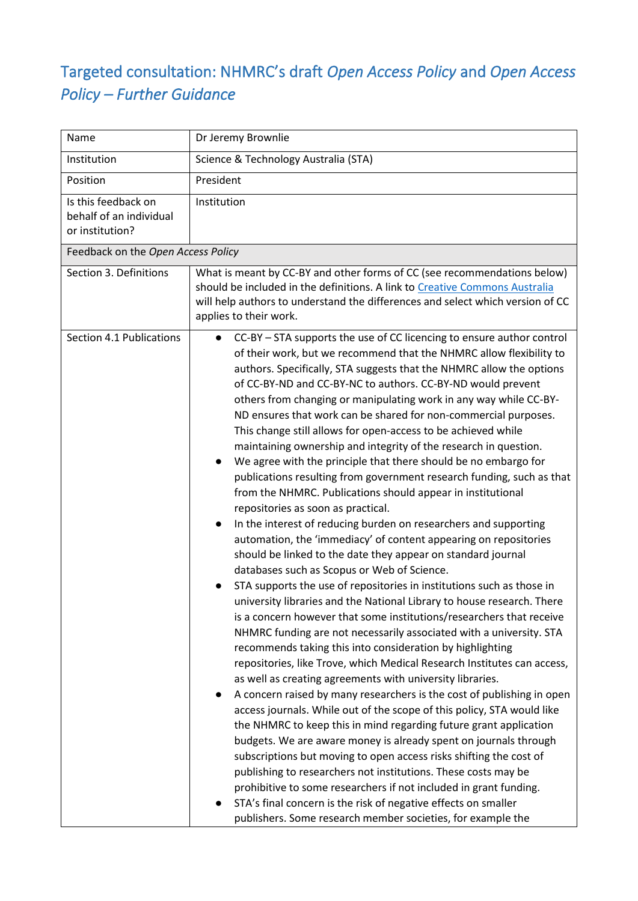## Targeted consultation: NHMRC's draft *Open Access Policy* and *Open Access Policy – Further Guidance*

| Name                                                              | Dr Jeremy Brownlie                                                                                                                                                                                                                                                                                                                                                                                                                                                                                                                                                                                                                                                                                                                                                                                                                                                                                                                                                                                                                                                                                                                                                                                                                                                                                                                                                                                                                                                                                                                                                                                                                                                                                                                                                                                                                                                                                                                                                                                                                                                                                                                                                                                                         |  |
|-------------------------------------------------------------------|----------------------------------------------------------------------------------------------------------------------------------------------------------------------------------------------------------------------------------------------------------------------------------------------------------------------------------------------------------------------------------------------------------------------------------------------------------------------------------------------------------------------------------------------------------------------------------------------------------------------------------------------------------------------------------------------------------------------------------------------------------------------------------------------------------------------------------------------------------------------------------------------------------------------------------------------------------------------------------------------------------------------------------------------------------------------------------------------------------------------------------------------------------------------------------------------------------------------------------------------------------------------------------------------------------------------------------------------------------------------------------------------------------------------------------------------------------------------------------------------------------------------------------------------------------------------------------------------------------------------------------------------------------------------------------------------------------------------------------------------------------------------------------------------------------------------------------------------------------------------------------------------------------------------------------------------------------------------------------------------------------------------------------------------------------------------------------------------------------------------------------------------------------------------------------------------------------------------------|--|
| Institution                                                       | Science & Technology Australia (STA)                                                                                                                                                                                                                                                                                                                                                                                                                                                                                                                                                                                                                                                                                                                                                                                                                                                                                                                                                                                                                                                                                                                                                                                                                                                                                                                                                                                                                                                                                                                                                                                                                                                                                                                                                                                                                                                                                                                                                                                                                                                                                                                                                                                       |  |
| Position                                                          | President                                                                                                                                                                                                                                                                                                                                                                                                                                                                                                                                                                                                                                                                                                                                                                                                                                                                                                                                                                                                                                                                                                                                                                                                                                                                                                                                                                                                                                                                                                                                                                                                                                                                                                                                                                                                                                                                                                                                                                                                                                                                                                                                                                                                                  |  |
| Is this feedback on<br>behalf of an individual<br>or institution? | Institution                                                                                                                                                                                                                                                                                                                                                                                                                                                                                                                                                                                                                                                                                                                                                                                                                                                                                                                                                                                                                                                                                                                                                                                                                                                                                                                                                                                                                                                                                                                                                                                                                                                                                                                                                                                                                                                                                                                                                                                                                                                                                                                                                                                                                |  |
| Feedback on the Open Access Policy                                |                                                                                                                                                                                                                                                                                                                                                                                                                                                                                                                                                                                                                                                                                                                                                                                                                                                                                                                                                                                                                                                                                                                                                                                                                                                                                                                                                                                                                                                                                                                                                                                                                                                                                                                                                                                                                                                                                                                                                                                                                                                                                                                                                                                                                            |  |
| Section 3. Definitions                                            | What is meant by CC-BY and other forms of CC (see recommendations below)<br>should be included in the definitions. A link to Creative Commons Australia<br>will help authors to understand the differences and select which version of CC<br>applies to their work.                                                                                                                                                                                                                                                                                                                                                                                                                                                                                                                                                                                                                                                                                                                                                                                                                                                                                                                                                                                                                                                                                                                                                                                                                                                                                                                                                                                                                                                                                                                                                                                                                                                                                                                                                                                                                                                                                                                                                        |  |
| Section 4.1 Publications                                          | CC-BY - STA supports the use of CC licencing to ensure author control<br>of their work, but we recommend that the NHMRC allow flexibility to<br>authors. Specifically, STA suggests that the NHMRC allow the options<br>of CC-BY-ND and CC-BY-NC to authors. CC-BY-ND would prevent<br>others from changing or manipulating work in any way while CC-BY-<br>ND ensures that work can be shared for non-commercial purposes.<br>This change still allows for open-access to be achieved while<br>maintaining ownership and integrity of the research in question.<br>We agree with the principle that there should be no embargo for<br>publications resulting from government research funding, such as that<br>from the NHMRC. Publications should appear in institutional<br>repositories as soon as practical.<br>In the interest of reducing burden on researchers and supporting<br>automation, the 'immediacy' of content appearing on repositories<br>should be linked to the date they appear on standard journal<br>databases such as Scopus or Web of Science.<br>STA supports the use of repositories in institutions such as those in<br>university libraries and the National Library to house research. There<br>is a concern however that some institutions/researchers that receive<br>NHMRC funding are not necessarily associated with a university. STA<br>recommends taking this into consideration by highlighting<br>repositories, like Trove, which Medical Research Institutes can access,<br>as well as creating agreements with university libraries.<br>A concern raised by many researchers is the cost of publishing in open<br>access journals. While out of the scope of this policy, STA would like<br>the NHMRC to keep this in mind regarding future grant application<br>budgets. We are aware money is already spent on journals through<br>subscriptions but moving to open access risks shifting the cost of<br>publishing to researchers not institutions. These costs may be<br>prohibitive to some researchers if not included in grant funding.<br>STA's final concern is the risk of negative effects on smaller<br>publishers. Some research member societies, for example the |  |